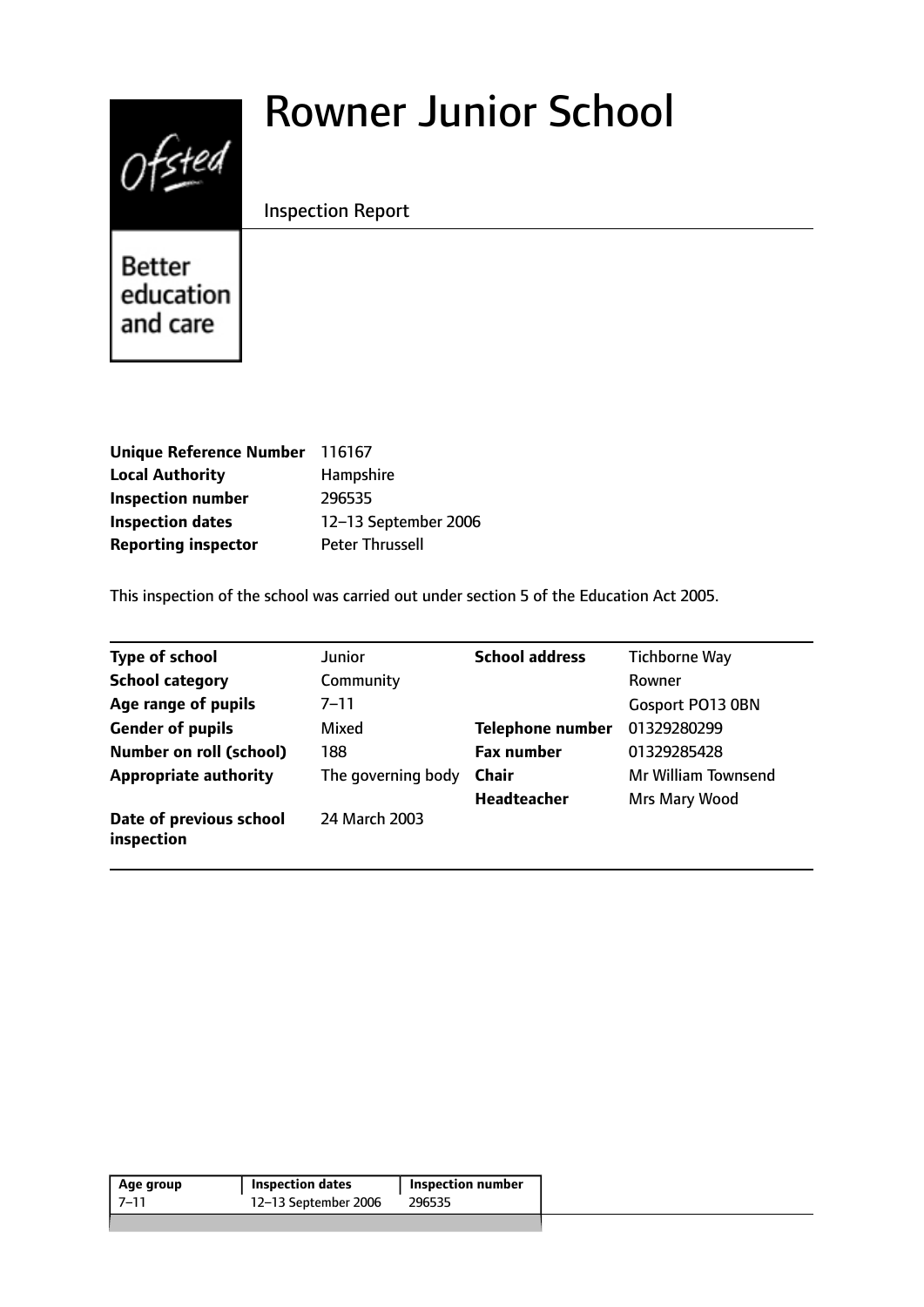# Rowner Junior School



Inspection Report

Better education and care

| Unique Reference Number 116167 |                        |
|--------------------------------|------------------------|
| <b>Local Authority</b>         | Hampshire              |
| <b>Inspection number</b>       | 296535                 |
| <b>Inspection dates</b>        | 12-13 September 2006   |
| <b>Reporting inspector</b>     | <b>Peter Thrussell</b> |

This inspection of the school was carried out under section 5 of the Education Act 2005.

| <b>Type of school</b>                 | <b>Junior</b>      | <b>School address</b>   | <b>Tichborne Way</b>       |
|---------------------------------------|--------------------|-------------------------|----------------------------|
| <b>School category</b>                | Community          |                         | Rowner                     |
| Age range of pupils                   | 7–11               |                         | Gosport PO13 0BN           |
| <b>Gender of pupils</b>               | Mixed              | <b>Telephone number</b> | 01329280299                |
| <b>Number on roll (school)</b>        | 188                | <b>Fax number</b>       | 01329285428                |
| <b>Appropriate authority</b>          | The governing body | <b>Chair</b>            | <b>Mr William Townsend</b> |
|                                       |                    | <b>Headteacher</b>      | Mrs Mary Wood              |
| Date of previous school<br>inspection | 24 March 2003      |                         |                            |

| Age group | <b>Inspection dates</b> | Inspection number |
|-----------|-------------------------|-------------------|
| 7–11      | 12-13 September 2006    | 296535            |
|           |                         |                   |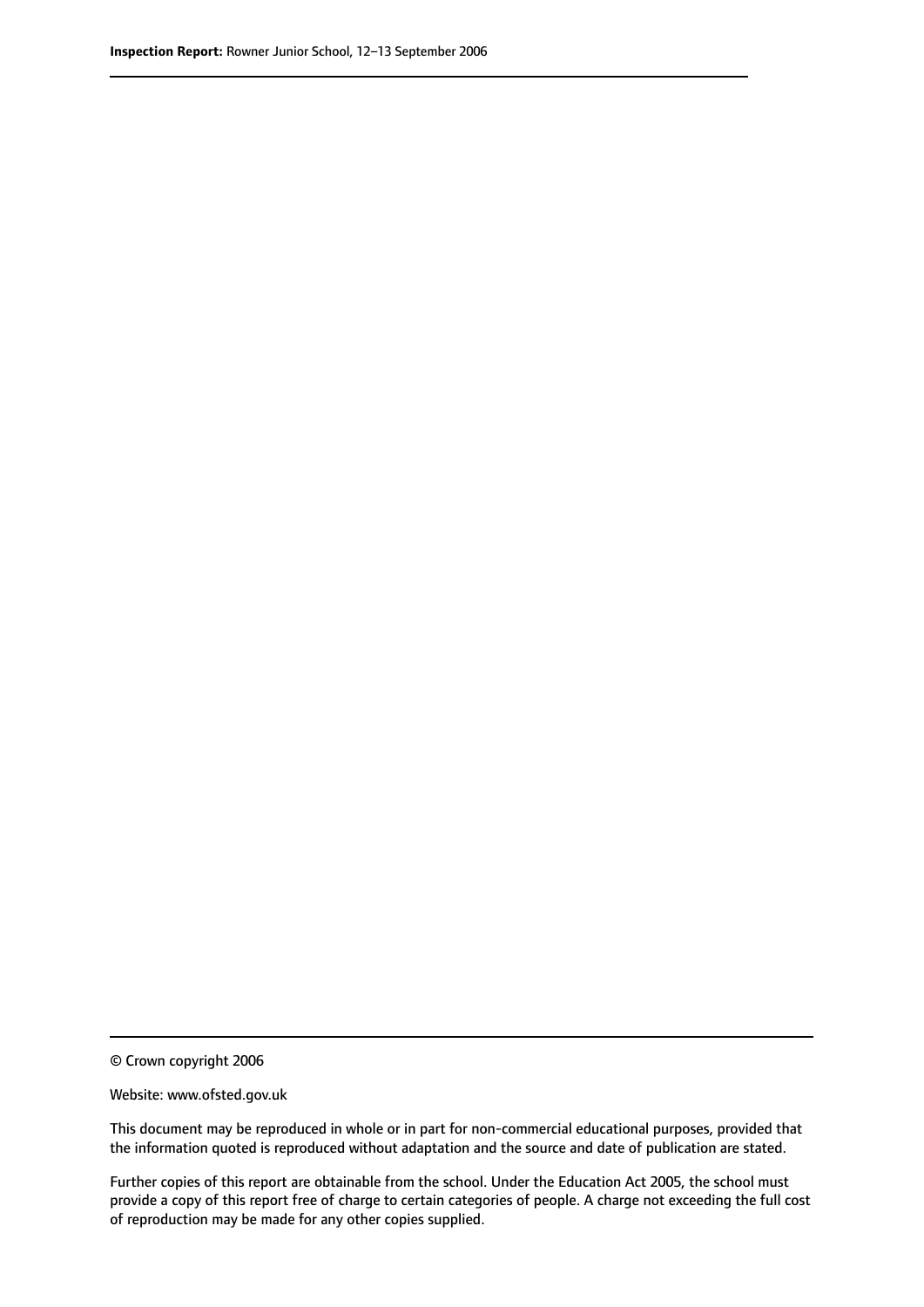© Crown copyright 2006

Website: www.ofsted.gov.uk

This document may be reproduced in whole or in part for non-commercial educational purposes, provided that the information quoted is reproduced without adaptation and the source and date of publication are stated.

Further copies of this report are obtainable from the school. Under the Education Act 2005, the school must provide a copy of this report free of charge to certain categories of people. A charge not exceeding the full cost of reproduction may be made for any other copies supplied.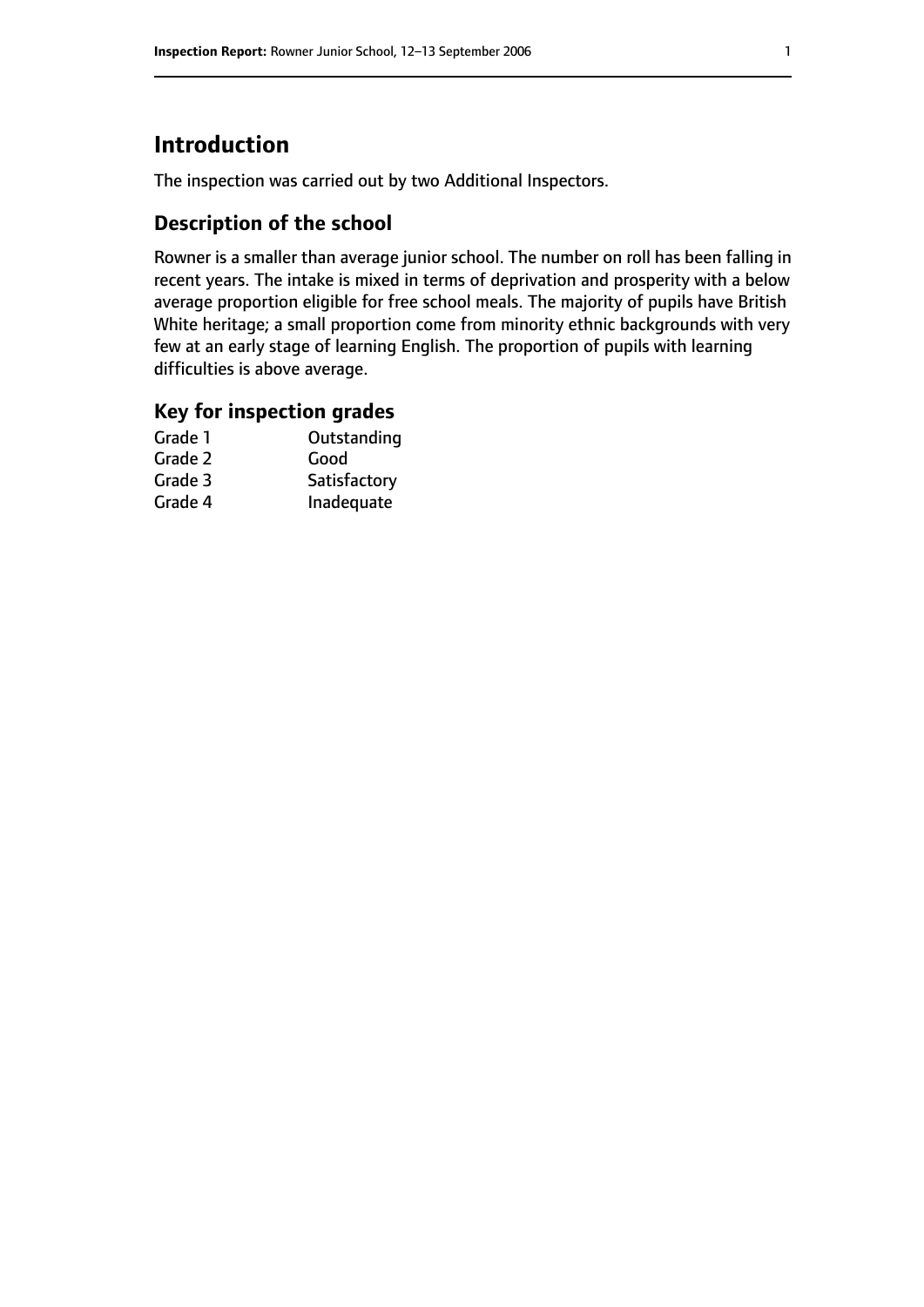# **Introduction**

The inspection was carried out by two Additional Inspectors.

## **Description of the school**

Rowner is a smaller than average junior school. The number on roll has been falling in recent years. The intake is mixed in terms of deprivation and prosperity with a below average proportion eligible for free school meals. The majority of pupils have British White heritage; a small proportion come from minority ethnic backgrounds with very few at an early stage of learning English. The proportion of pupils with learning difficulties is above average.

## **Key for inspection grades**

| Outstanding  |
|--------------|
| Good         |
| Satisfactory |
| Inadequate   |
|              |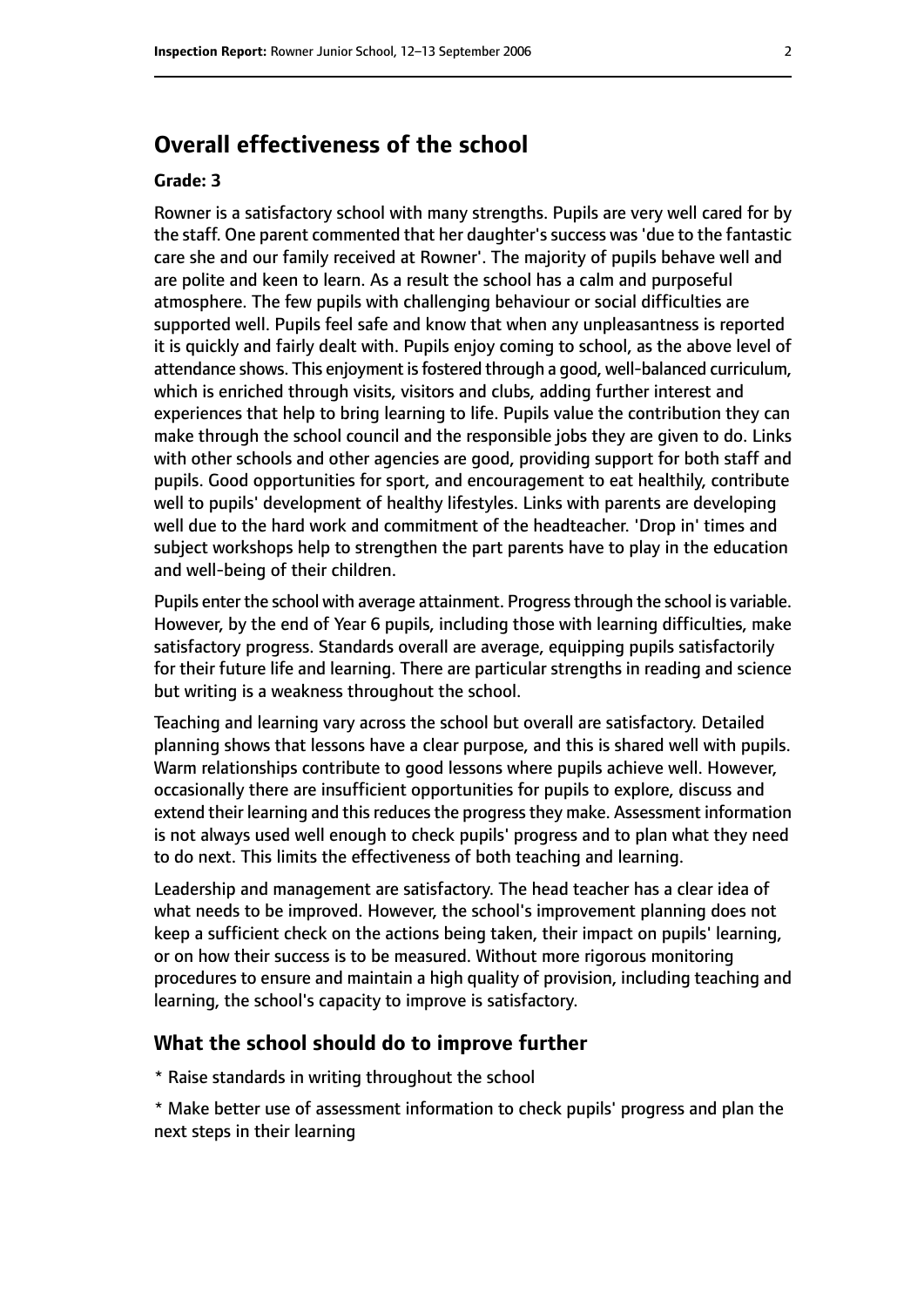# **Overall effectiveness of the school**

#### **Grade: 3**

Rowner is a satisfactory school with many strengths. Pupils are very well cared for by the staff. One parent commented that her daughter's success was 'due to the fantastic care she and our family received at Rowner'. The majority of pupils behave well and are polite and keen to learn. As a result the school has a calm and purposeful atmosphere. The few pupils with challenging behaviour or social difficulties are supported well. Pupils feel safe and know that when any unpleasantness is reported it is quickly and fairly dealt with. Pupils enjoy coming to school, as the above level of attendance shows. This enjoyment is fostered through a good, well-balanced curriculum, which is enriched through visits, visitors and clubs, adding further interest and experiences that help to bring learning to life. Pupils value the contribution they can make through the school council and the responsible jobs they are given to do. Links with other schools and other agencies are good, providing support for both staff and pupils. Good opportunities for sport, and encouragement to eat healthily, contribute well to pupils' development of healthy lifestyles. Links with parents are developing well due to the hard work and commitment of the headteacher. 'Drop in' times and subject workshops help to strengthen the part parents have to play in the education and well-being of their children.

Pupils enter the school with average attainment. Progress through the school is variable. However, by the end of Year 6 pupils, including those with learning difficulties, make satisfactory progress. Standards overall are average, equipping pupils satisfactorily for their future life and learning. There are particular strengths in reading and science but writing is a weakness throughout the school.

Teaching and learning vary across the school but overall are satisfactory. Detailed planning shows that lessons have a clear purpose, and this is shared well with pupils. Warm relationships contribute to good lessons where pupils achieve well. However, occasionally there are insufficient opportunities for pupils to explore, discuss and extend their learning and this reduces the progress they make. Assessment information is not always used well enough to check pupils' progress and to plan what they need to do next. This limits the effectiveness of both teaching and learning.

Leadership and management are satisfactory. The head teacher has a clear idea of what needs to be improved. However, the school's improvement planning does not keep a sufficient check on the actions being taken, their impact on pupils' learning, or on how their success is to be measured. Without more rigorous monitoring procedures to ensure and maintain a high quality of provision, including teaching and learning, the school's capacity to improve is satisfactory.

#### **What the school should do to improve further**

\* Raise standards in writing throughout the school

\* Make better use of assessment information to check pupils' progress and plan the next steps in their learning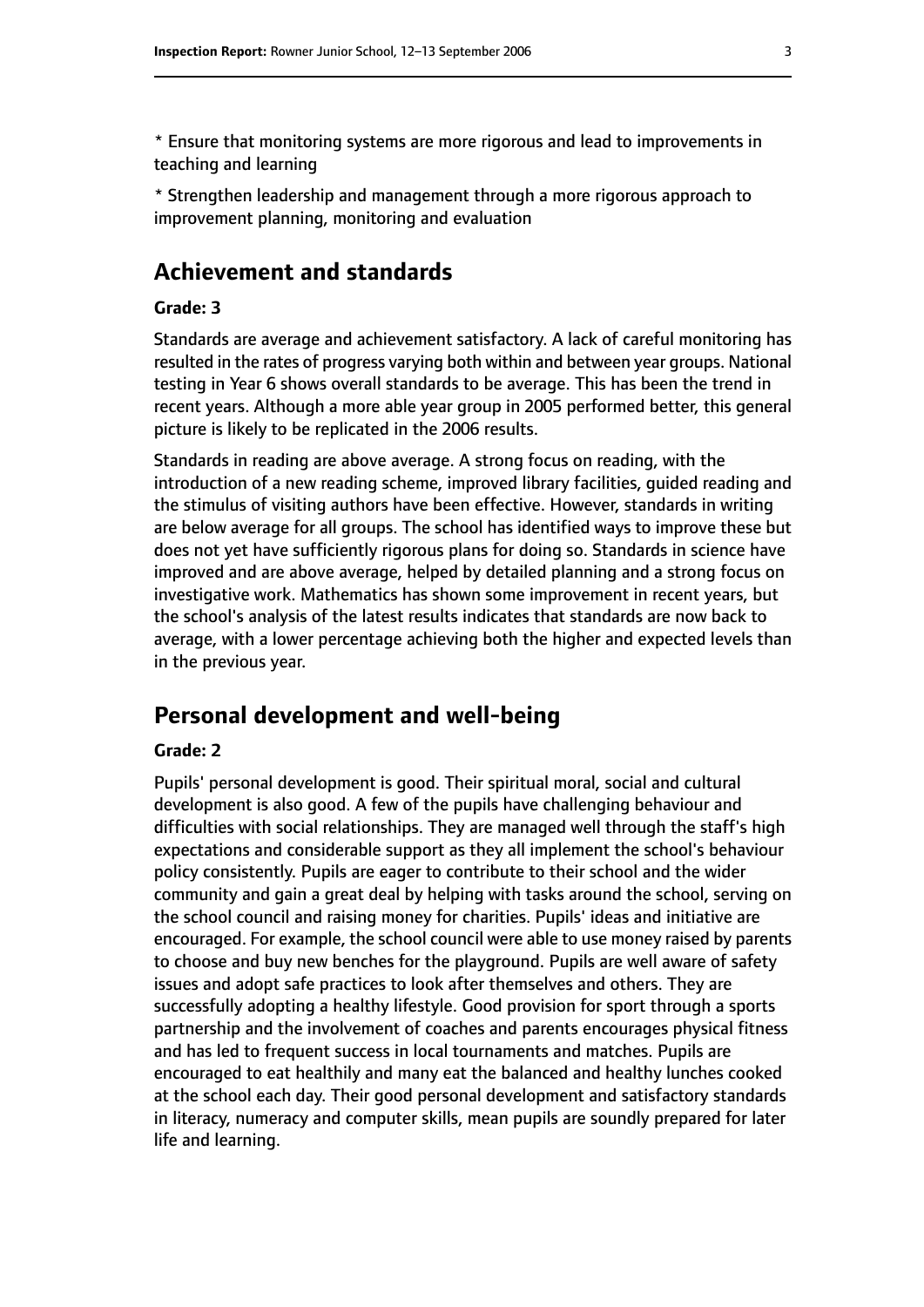\* Ensure that monitoring systems are more rigorous and lead to improvements in teaching and learning

\* Strengthen leadership and management through a more rigorous approach to improvement planning, monitoring and evaluation

# **Achievement and standards**

#### **Grade: 3**

Standards are average and achievement satisfactory. A lack of careful monitoring has resulted in the rates of progress varying both within and between year groups. National testing in Year 6 shows overall standards to be average. This has been the trend in recent years. Although a more able year group in 2005 performed better, this general picture is likely to be replicated in the 2006 results.

Standards in reading are above average. A strong focus on reading, with the introduction of a new reading scheme, improved library facilities, guided reading and the stimulus of visiting authors have been effective. However, standards in writing are below average for all groups. The school has identified ways to improve these but does not yet have sufficiently rigorous plans for doing so. Standards in science have improved and are above average, helped by detailed planning and a strong focus on investigative work. Mathematics has shown some improvement in recent years, but the school's analysis of the latest results indicates that standards are now back to average, with a lower percentage achieving both the higher and expected levels than in the previous year.

## **Personal development and well-being**

#### **Grade: 2**

Pupils' personal development is good. Their spiritual moral, social and cultural development is also good. A few of the pupils have challenging behaviour and difficulties with social relationships. They are managed well through the staff's high expectations and considerable support as they all implement the school's behaviour policy consistently. Pupils are eager to contribute to their school and the wider community and gain a great deal by helping with tasks around the school, serving on the school council and raising money for charities. Pupils' ideas and initiative are encouraged. For example, the school council were able to use money raised by parents to choose and buy new benches for the playground. Pupils are well aware of safety issues and adopt safe practices to look after themselves and others. They are successfully adopting a healthy lifestyle. Good provision for sport through a sports partnership and the involvement of coaches and parents encourages physical fitness and has led to frequent success in local tournaments and matches. Pupils are encouraged to eat healthily and many eat the balanced and healthy lunches cooked at the school each day. Their good personal development and satisfactory standards in literacy, numeracy and computer skills, mean pupils are soundly prepared for later life and learning.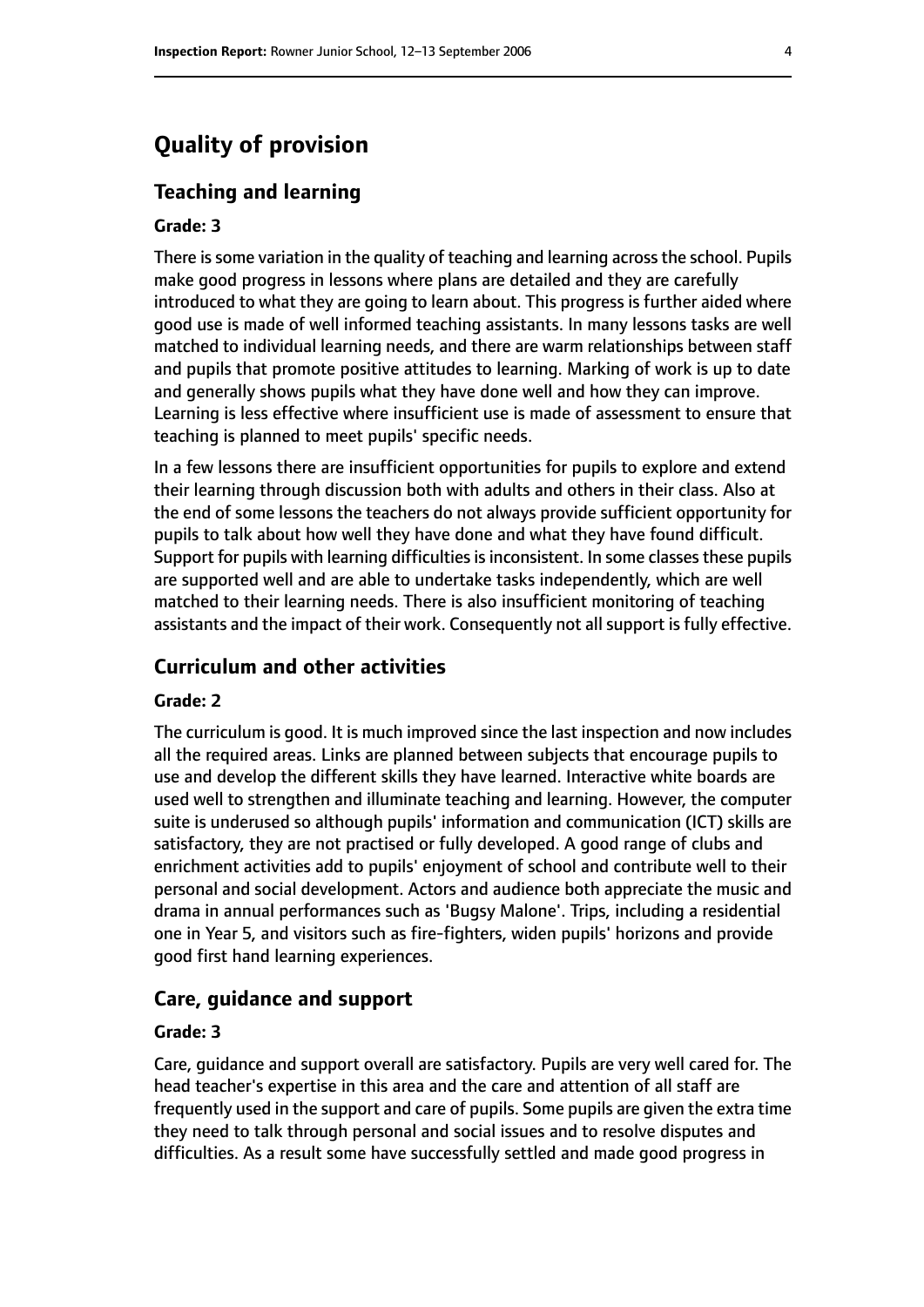# **Quality of provision**

#### **Teaching and learning**

#### **Grade: 3**

There is some variation in the quality of teaching and learning across the school. Pupils make good progress in lessons where plans are detailed and they are carefully introduced to what they are going to learn about. This progress is further aided where good use is made of well informed teaching assistants. In many lessons tasks are well matched to individual learning needs, and there are warm relationships between staff and pupils that promote positive attitudes to learning. Marking of work is up to date and generally shows pupils what they have done well and how they can improve. Learning is less effective where insufficient use is made of assessment to ensure that teaching is planned to meet pupils' specific needs.

In a few lessons there are insufficient opportunities for pupils to explore and extend their learning through discussion both with adults and others in their class. Also at the end of some lessons the teachers do not always provide sufficient opportunity for pupils to talk about how well they have done and what they have found difficult. Support for pupils with learning difficulties is inconsistent. In some classes these pupils are supported well and are able to undertake tasks independently, which are well matched to their learning needs. There is also insufficient monitoring of teaching assistants and the impact of their work. Consequently not all support is fully effective.

### **Curriculum and other activities**

#### **Grade: 2**

The curriculum is good. It is much improved since the last inspection and now includes all the required areas. Links are planned between subjects that encourage pupils to use and develop the different skills they have learned. Interactive white boards are used well to strengthen and illuminate teaching and learning. However, the computer suite is underused so although pupils' information and communication (ICT) skills are satisfactory, they are not practised or fully developed. A good range of clubs and enrichment activities add to pupils' enjoyment of school and contribute well to their personal and social development. Actors and audience both appreciate the music and drama in annual performances such as 'Bugsy Malone'. Trips, including a residential one in Year 5, and visitors such as fire-fighters, widen pupils' horizons and provide good first hand learning experiences.

#### **Care, guidance and support**

#### **Grade: 3**

Care, guidance and support overall are satisfactory. Pupils are very well cared for. The head teacher's expertise in this area and the care and attention of all staff are frequently used in the support and care of pupils. Some pupils are given the extra time they need to talk through personal and social issues and to resolve disputes and difficulties. As a result some have successfully settled and made good progress in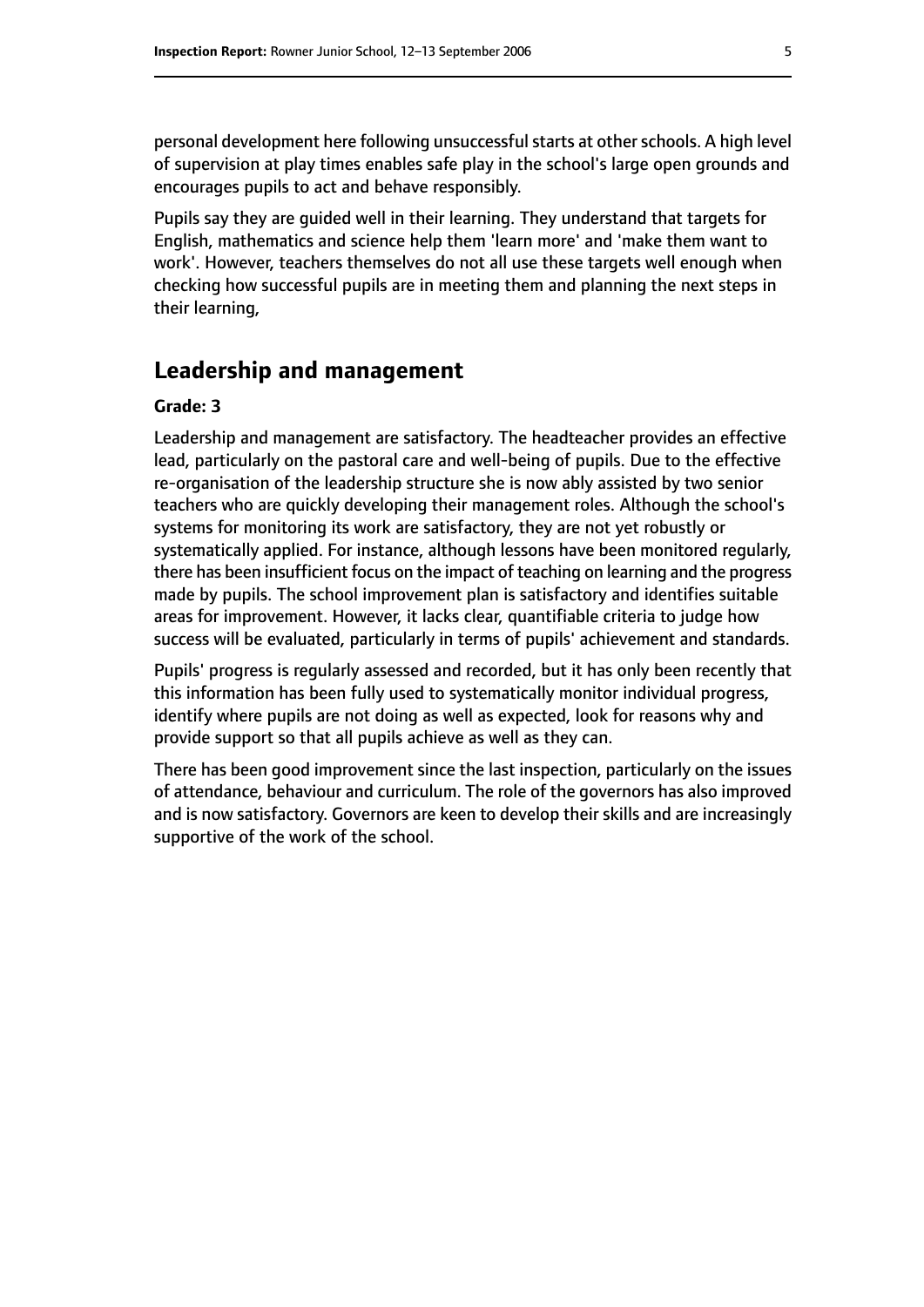personal development here following unsuccessful starts at other schools. A high level of supervision at play times enables safe play in the school's large open grounds and encourages pupils to act and behave responsibly.

Pupils say they are guided well in their learning. They understand that targets for English, mathematics and science help them 'learn more' and 'make them want to work'. However, teachers themselves do not all use these targets well enough when checking how successful pupils are in meeting them and planning the next steps in their learning,

# **Leadership and management**

#### **Grade: 3**

Leadership and management are satisfactory. The headteacher provides an effective lead, particularly on the pastoral care and well-being of pupils. Due to the effective re-organisation of the leadership structure she is now ably assisted by two senior teachers who are quickly developing their management roles. Although the school's systems for monitoring its work are satisfactory, they are not yet robustly or systematically applied. For instance, although lessons have been monitored regularly, there has been insufficient focus on the impact of teaching on learning and the progress made by pupils. The school improvement plan is satisfactory and identifies suitable areas for improvement. However, it lacks clear, quantifiable criteria to judge how success will be evaluated, particularly in terms of pupils' achievement and standards.

Pupils' progress is regularly assessed and recorded, but it has only been recently that this information has been fully used to systematically monitor individual progress, identify where pupils are not doing as well as expected, look for reasons why and provide support so that all pupils achieve as well as they can.

There has been good improvement since the last inspection, particularly on the issues of attendance, behaviour and curriculum. The role of the governors has also improved and is now satisfactory. Governors are keen to develop their skills and are increasingly supportive of the work of the school.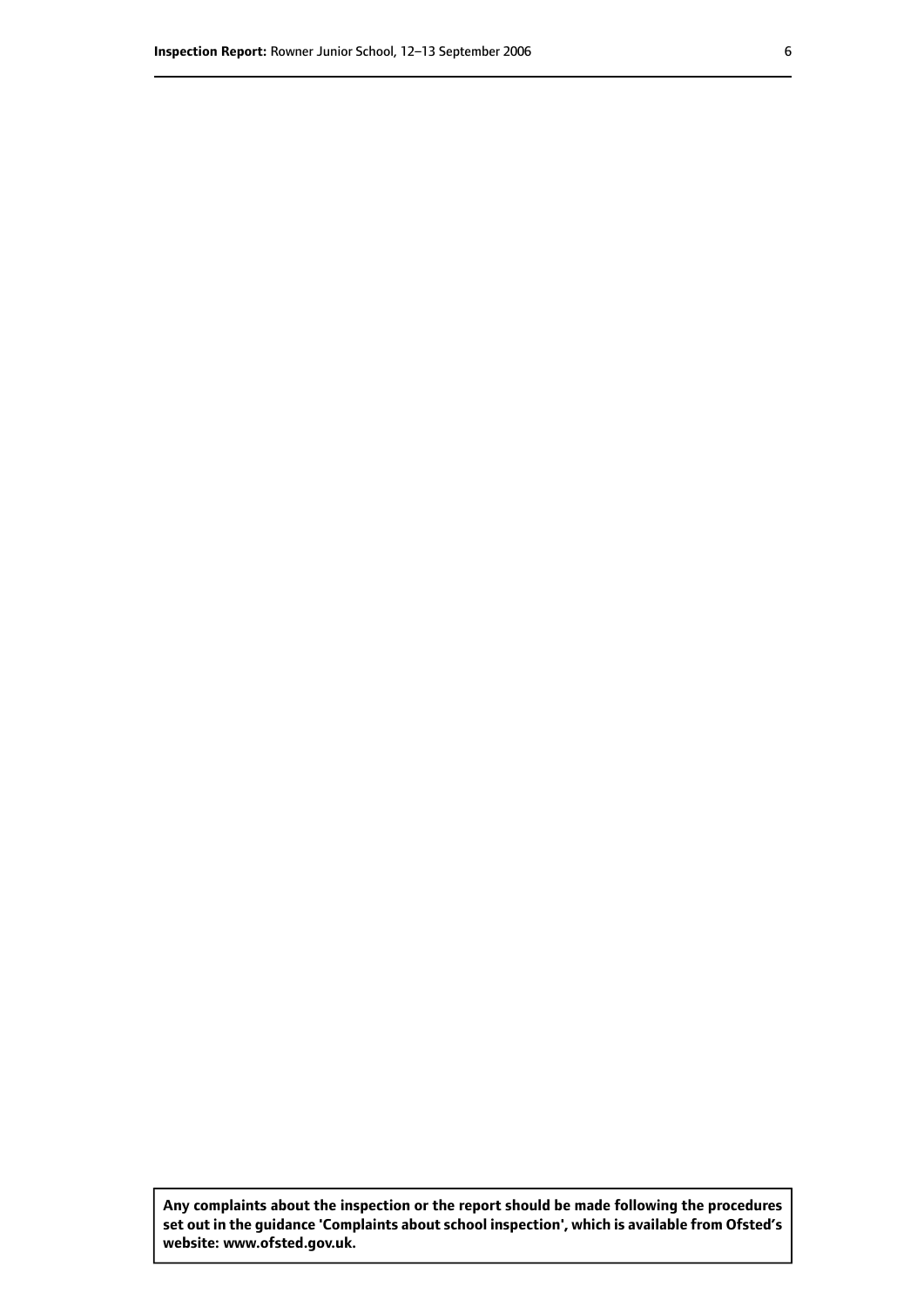**Any complaints about the inspection or the report should be made following the procedures set out inthe guidance 'Complaints about school inspection', whichis available from Ofsted's website: www.ofsted.gov.uk.**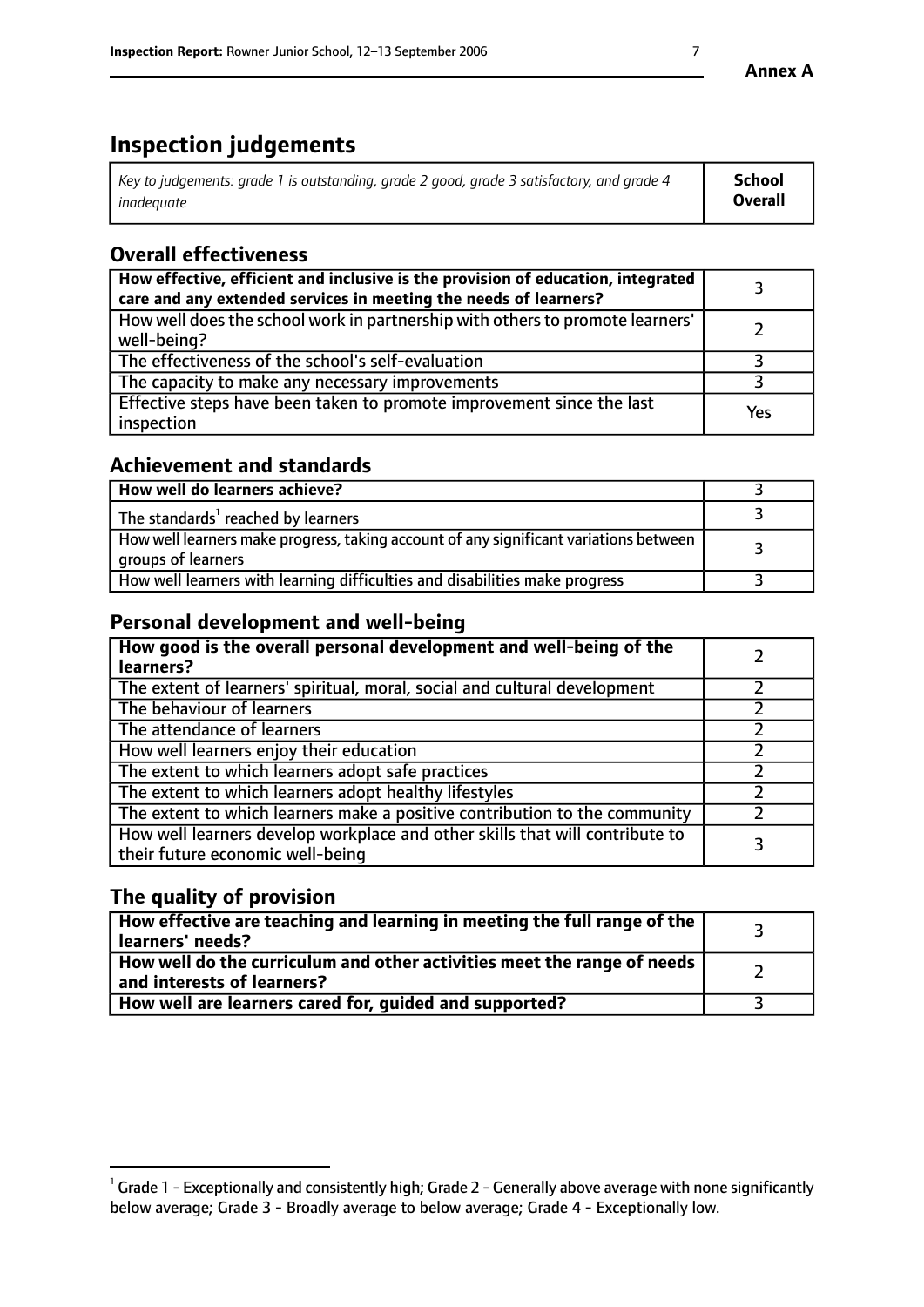# **Inspection judgements**

| Key to judgements: grade 1 is outstanding, grade 2 good, grade 3 satisfactory, and grade 4 | <b>School</b>  |
|--------------------------------------------------------------------------------------------|----------------|
| inadeauate                                                                                 | <b>Overall</b> |

# **Overall effectiveness**

| How effective, efficient and inclusive is the provision of education, integrated<br>care and any extended services in meeting the needs of learners? |     |
|------------------------------------------------------------------------------------------------------------------------------------------------------|-----|
| How well does the school work in partnership with others to promote learners'<br>well-being?                                                         |     |
| The effectiveness of the school's self-evaluation                                                                                                    |     |
| The capacity to make any necessary improvements                                                                                                      |     |
| Effective steps have been taken to promote improvement since the last<br>inspection                                                                  | Yes |

## **Achievement and standards**

| How well do learners achieve?                                                                               |  |
|-------------------------------------------------------------------------------------------------------------|--|
| The standards <sup>1</sup> reached by learners                                                              |  |
| How well learners make progress, taking account of any significant variations between<br>groups of learners |  |
| How well learners with learning difficulties and disabilities make progress                                 |  |

# **Personal development and well-being**

| How good is the overall personal development and well-being of the<br>learners?                                  |  |
|------------------------------------------------------------------------------------------------------------------|--|
| The extent of learners' spiritual, moral, social and cultural development                                        |  |
| The behaviour of learners                                                                                        |  |
| The attendance of learners                                                                                       |  |
| How well learners enjoy their education                                                                          |  |
| The extent to which learners adopt safe practices                                                                |  |
| The extent to which learners adopt healthy lifestyles                                                            |  |
| The extent to which learners make a positive contribution to the community                                       |  |
| How well learners develop workplace and other skills that will contribute to<br>their future economic well-being |  |

# **The quality of provision**

| How effective are teaching and learning in meeting the full range of the<br>learners' needs?                        |  |
|---------------------------------------------------------------------------------------------------------------------|--|
| $\mid$ How well do the curriculum and other activities meet the range of needs $\mid$<br>and interests of learners? |  |
| How well are learners cared for, guided and supported?                                                              |  |

 $^1$  Grade 1 - Exceptionally and consistently high; Grade 2 - Generally above average with none significantly below average; Grade 3 - Broadly average to below average; Grade 4 - Exceptionally low.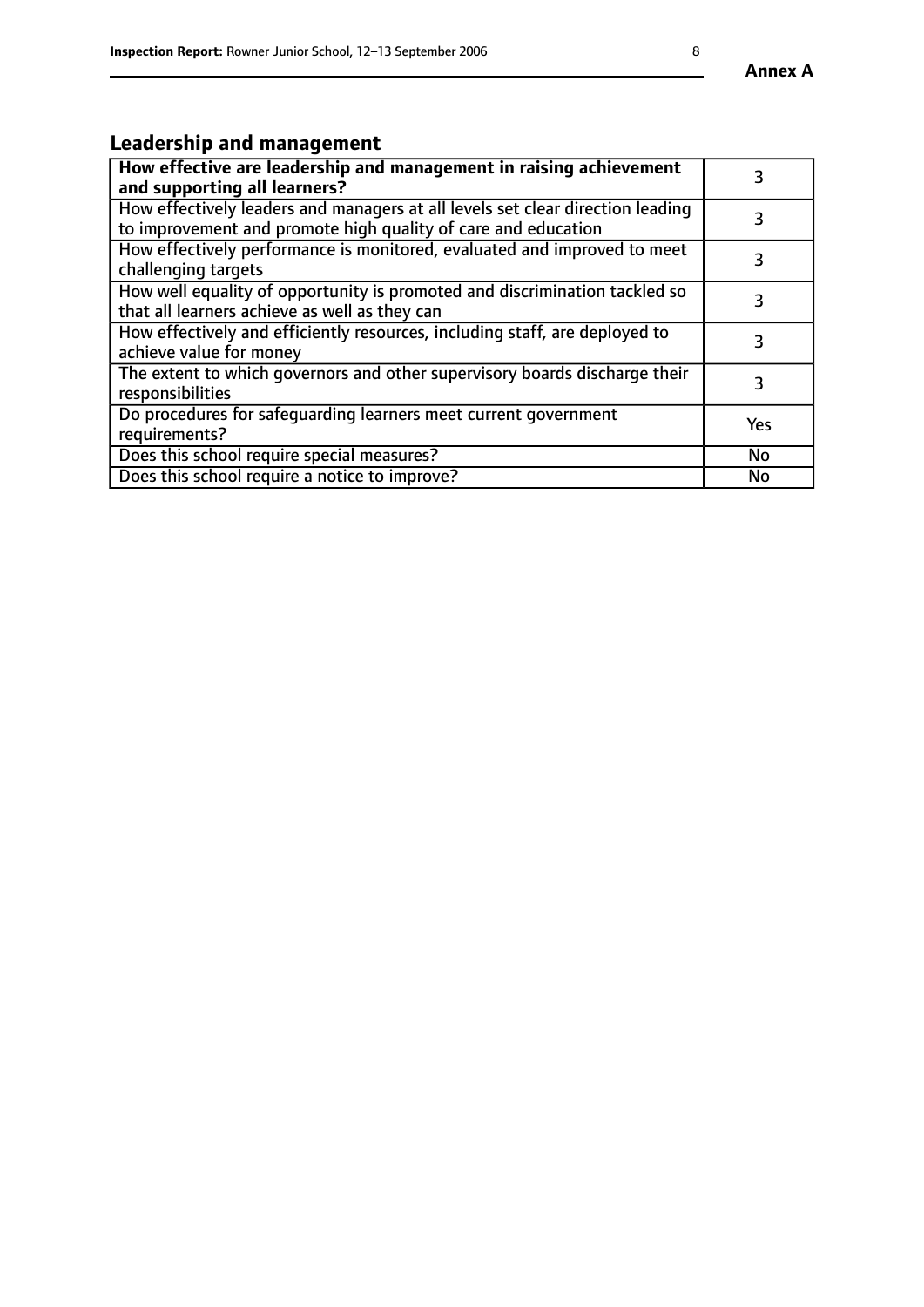# **Leadership and management**

| How effective are leadership and management in raising achievement<br>and supporting all learners?                                              |           |
|-------------------------------------------------------------------------------------------------------------------------------------------------|-----------|
| How effectively leaders and managers at all levels set clear direction leading<br>to improvement and promote high quality of care and education |           |
| How effectively performance is monitored, evaluated and improved to meet<br>challenging targets                                                 | 3         |
| How well equality of opportunity is promoted and discrimination tackled so<br>that all learners achieve as well as they can                     |           |
| How effectively and efficiently resources, including staff, are deployed to<br>achieve value for money                                          | З         |
| The extent to which governors and other supervisory boards discharge their<br>responsibilities                                                  | 3         |
| Do procedures for safequarding learners meet current government<br>requirements?                                                                | Yes       |
| Does this school require special measures?                                                                                                      | No        |
| Does this school require a notice to improve?                                                                                                   | <b>No</b> |